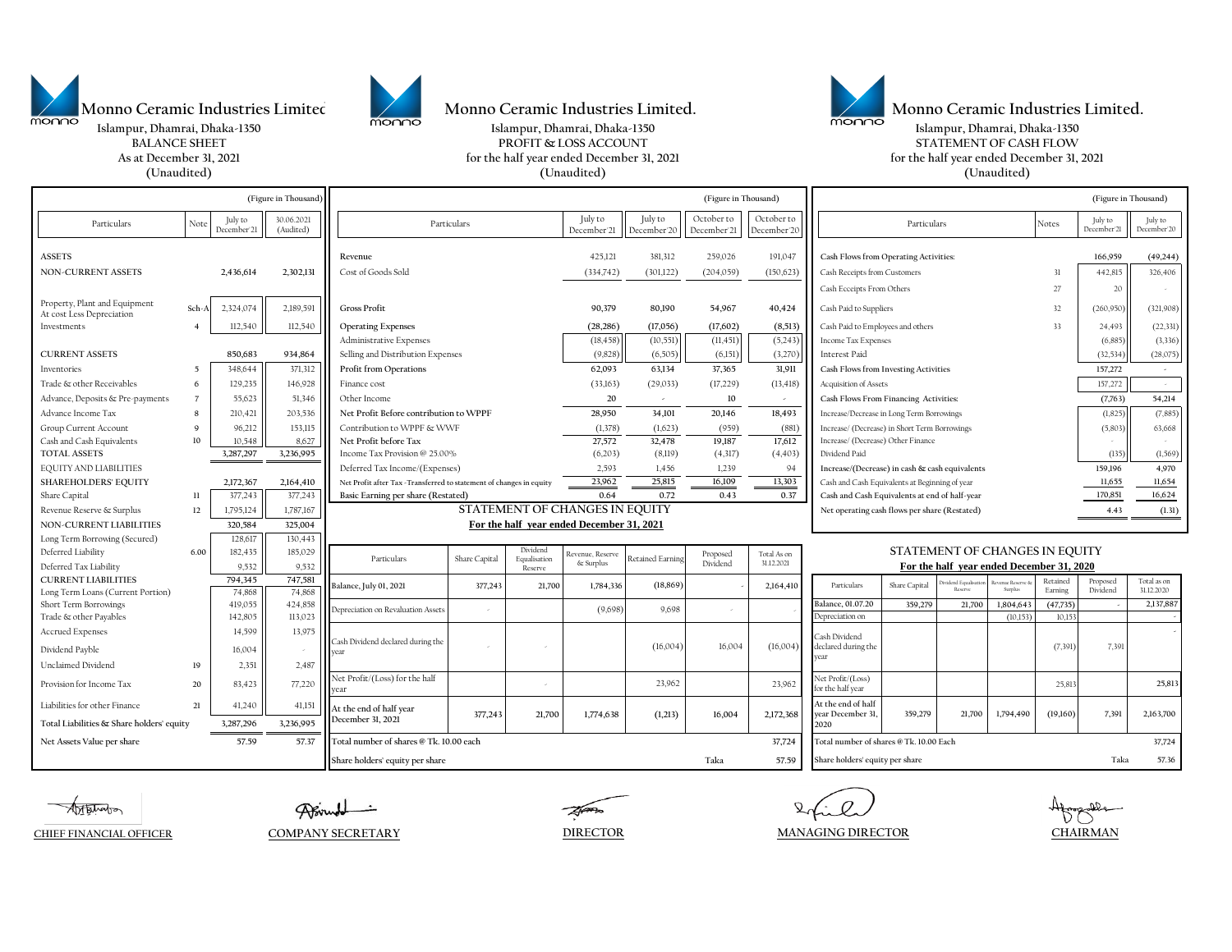

**Islampur, Dhamrai, Dhaka-1350 Islampur, Dhamrai, Dhaka-1350 Islampur, Dhamrai, Dhaka-1350** Monno Ceramic Industries Limited.<br>
Monno Ceramic Industries Limited.<br>
Monno Ceramic Industries Limited.



**BALANCE SHEET PROFIT & LOSS ACCOUNT PROFIT & LOSS ACCOUNT STATEMENT OF CASH FLOW** 



**As at December 31, 2021 for the half year ended December 31, 2021 for the half year ended December 31, 2021**

|                                                            | (Unaudited)    |                        |                         |                                                                     | (Unaudited)   |                          |                                   |                         |                                      |                                               |                                                | (Unaudited)   |                             |                         |                                   |                        |                           |
|------------------------------------------------------------|----------------|------------------------|-------------------------|---------------------------------------------------------------------|---------------|--------------------------|-----------------------------------|-------------------------|--------------------------------------|-----------------------------------------------|------------------------------------------------|---------------|-----------------------------|-------------------------|-----------------------------------|------------------------|---------------------------|
| (Figure in Thousand                                        |                |                        | (Figure in Thousand)    |                                                                     |               |                          |                                   |                         | (Figure in Thousand)                 |                                               |                                                |               |                             |                         |                                   |                        |                           |
| Particulars                                                | Note           | July to<br>December'21 | 30.06.2021<br>(Audited) | Particulars                                                         |               |                          | July to<br>December <sup>21</sup> | July to<br>December'20  | October to<br>December <sup>21</sup> | October to<br>December'20                     | Particulars<br>Notes                           |               |                             |                         | July to<br>December <sup>21</sup> | July to<br>December 20 |                           |
| <b>ASSETS</b>                                              |                |                        |                         | Revenue                                                             |               |                          | 425,121                           | 381,312                 | 259,026                              | 191,047                                       | Cash Flows from Operating Activities:          |               |                             |                         |                                   | 166,959                | (49, 244)                 |
| <b>NON-CURRENT ASSETS</b>                                  |                | 2,436,614              | 2,302,131               | Cost of Goods Sold                                                  |               |                          | (334,742)                         | (301,122)               | (204,059)                            | (150, 623)                                    | Cash Receipts from Customers                   |               |                             |                         | 31                                | 442,815                | 326,406                   |
|                                                            |                |                        |                         |                                                                     |               |                          |                                   |                         |                                      |                                               | Cash Ecceipts From Others                      |               |                             |                         | 27                                | 20                     | $\sim$                    |
| Property, Plant and Equipment<br>At cost Less Depreciation | Sch-A          | 2,324,074              | 2,189,591               | Gross Profit                                                        |               |                          | 90,379                            | 80,190                  | 54,967                               | 40,424                                        | Cash Paid to Suppliers<br>32                   |               |                             |                         | (260, 950)                        | (321,908)              |                           |
| Investments                                                |                | 112,540                | 112,540                 | <b>Operating Expenses</b>                                           |               |                          | (28, 286)                         | (17,056)                | (17,602)                             | (8,513)                                       | Cash Paid to Employees and others<br>33        |               |                             |                         |                                   | 24,493                 | (22, 331)                 |
|                                                            |                |                        |                         | Administrative Expenses                                             |               |                          | (18, 458)                         | (10, 551)               | (11, 451)                            | (5, 243)                                      | Income Tax Expenses                            |               |                             |                         |                                   | (6, 885)               | (3, 336)                  |
| <b>CURRENT ASSETS</b>                                      |                | 850,683                | 934,864                 | Selling and Distribution Expenses                                   |               |                          | (9, 828)                          | (6,505)                 | (6,151)                              | (3,270)                                       | Interest Paid                                  |               |                             |                         |                                   | (32, 534)              | (28,075)                  |
| Inventories                                                | $\overline{5}$ | 348,644                | 371,312                 | Profit from Operations                                              |               |                          | 62,093                            | 63,134                  | 37,365                               | 31,911                                        | Cash Flows from Investing Activities           |               |                             |                         | 157,272                           |                        |                           |
| Trade & other Receivables                                  | 6              | 129,235                | 146,928                 | Finance cost                                                        |               |                          | (33,163)                          | (29, 033)               | (17, 229)                            | (13, 418)                                     | Acquisition of Assets                          |               |                             |                         | 157,272                           |                        |                           |
| Advance, Deposits & Pre-payments                           | $\overline{7}$ | 55,623                 | 51,346                  | Other Income                                                        |               |                          | 20                                | $\sim$                  | 10                                   | $\sim$                                        | Cash Flows From Financing Activities:          |               |                             |                         |                                   | (7, 763)               | 54,214                    |
| Advance Income Tax                                         | -8             | 210,421                | 203,536                 | Net Profit Before contribution to WPPF                              |               |                          | 28,950                            | 34,101                  | 20,146                               | 18,493                                        | Increase/Decrease in Long Term Borrowings      |               |                             |                         | (1, 825)                          | (7,885)                |                           |
| Group Current Account                                      | 9              | 96,212                 | 153,115                 | Contribution to WPPF & WWF                                          |               |                          | (1,378)                           | (1,623)                 | (959)                                | (881)                                         | Increase/ (Decrease) in Short Term Borrowings  |               |                             |                         |                                   | (5, 803)               | 63,668                    |
| Cash and Cash Equivalents                                  | 10             | 10,548                 | 8,627                   | Net Profit before Tax                                               |               |                          | 27,572                            | 32,478                  | 19,187                               | 17,612                                        | Increase/ (Decrease) Other Finance             |               |                             |                         |                                   |                        |                           |
| <b>TOTAL ASSETS</b>                                        |                | 3,287,297              | 3,236,995               | Income Tax Provision @ 25.00%                                       |               |                          | (6,203)                           | (8,119)                 | (4,317)                              | (4, 403)                                      | Dividend Paid                                  |               |                             |                         | (135)                             | (1, 569)               |                           |
| <b>EQUITY AND LIABILITIES</b>                              |                |                        |                         | Deferred Tax Income/(Expenses)                                      |               |                          | 2.593                             | 1.456                   | 1.239                                | 94                                            | Increase/(Decrease) in cash & cash equivalents |               |                             |                         | 159,196                           | 4,970                  |                           |
| <b>SHAREHOLDERS' EQUITY</b>                                |                | 2,172,367              | 2,164,410               | Net Profit after Tax -Transferred to statement of changes in equity |               |                          | 23,962                            | 25,815                  | 16,109                               | 13,303                                        | Cash and Cash Equivalents at Beginning of year |               |                             |                         |                                   | 11,655                 | 11,654                    |
| Share Capital                                              | $_{11}$        | 377,243                | 377,243                 | Basic Earning per share (Restated)                                  |               |                          | 0.64                              | 0.72                    | 0.43                                 | 0.37                                          | Cash and Cash Equivalents at end of half-year  |               |                             |                         | 170,851                           | 16,624                 |                           |
| Revenue Reserve & Surplus                                  | 12             | 1,795,124              | 1,787,167               | STATEMENT OF CHANGES IN EQUITY                                      |               |                          |                                   |                         |                                      | Net operating cash flows per share (Restated) |                                                |               |                             |                         | 4.43                              | (1.31)                 |                           |
| NON-CURRENT LIABILITIES                                    |                | 320,584                | 325,004                 | For the half year ended December 31, 2021                           |               |                          |                                   |                         |                                      |                                               |                                                |               |                             |                         |                                   |                        |                           |
| Long Term Borrowing (Secured)                              |                | 128,617                | 130,443                 |                                                                     |               |                          |                                   |                         |                                      |                                               |                                                |               |                             |                         |                                   |                        |                           |
| Deferred Liability                                         | 6.00           | 182,435                | 185,029                 | Particulars                                                         | Share Capital | Dividend<br>Equalisation | Revenue, Reserve                  | <b>Retained Earning</b> | Proposed                             | Total As on                                   | STATEMENT OF CHANGES IN EQUITY                 |               |                             |                         |                                   |                        |                           |
| Deferred Tax Liability                                     |                | 9,532                  | 9,532                   |                                                                     |               | Reserve                  | & Surplus                         |                         | Dividend                             | 31.12.2021                                    | For the half year ended December 31, 2020      |               |                             |                         |                                   |                        |                           |
| <b>CURRENT LIABILITIES</b>                                 |                | 794,345                | 747,581                 | Balance, July 01, 2021                                              | 377,243       | 21,700                   | 1,784,336                         | (18, 869)               |                                      | 2,164,410                                     | Particulars                                    | Share Capital | ridend Equalisat<br>Reserve | enue Reserve<br>Surplus | Retained<br>Earning               | Proposed<br>Dividend   | Total as on<br>31.12.2020 |
| Long Term Loans (Current Portion)                          |                | 74,868                 | 74,868                  |                                                                     |               |                          |                                   |                         |                                      |                                               |                                                |               |                             |                         |                                   |                        | 2,137,887                 |
| Short Term Borrowings<br>Trade & other Payables            |                | 419,055<br>142,805     | 424,858<br>113,023      | Depreciation on Revaluation Assets                                  |               |                          | (9,698)                           | 9,698                   |                                      |                                               | Balance, 01.07.20<br>Depreciation on           | 359,279       | 21,700                      | 1,804,643<br>(10, 153)  | (47, 735)<br>10.15                |                        |                           |
| <b>Accrued Expenses</b>                                    |                | 14,599                 | 13,975                  |                                                                     |               |                          |                                   |                         |                                      |                                               | Cash Dividend                                  |               |                             |                         |                                   |                        |                           |
| Dividend Payble                                            |                | 16,004                 |                         | Cash Dividend declared during the<br>rear                           |               |                          |                                   | (16,004)                | 16,004                               | (16,004)                                      | declared during the<br>vear                    |               |                             |                         | (7, 391)                          | 7,391                  |                           |
| Unclaimed Dividend                                         | 19             | 2,351                  | 2,487                   |                                                                     |               |                          |                                   |                         |                                      |                                               |                                                |               |                             |                         |                                   |                        |                           |
| Provision for Income Tax                                   | 20             | 83,423                 | 77,220                  | Net Profit/(Loss) for the half<br>year                              |               |                          |                                   | 23,962                  |                                      | 23,962                                        | Net Profit/(Loss)<br>for the half year         |               |                             |                         | 25,813                            |                        | 25,813                    |
| Liabilities for other Finance                              | 21             | 41,240                 | 41,15                   | At the end of half year                                             | 377,243       | 21,700                   | 1,774,638                         | (1,213)                 | 16,004                               | 2,172,368                                     | At the end of half<br>year December 31         | 359,279       | 21,700                      | 1,794,490               | (19,160)                          | 7,391                  | 2,163,700                 |
| Total Liabilities & Share holders' equity                  |                | 3,287,296              | 3,236,995               | December 31, 2021                                                   |               |                          |                                   |                         |                                      |                                               | 2020                                           |               |                             |                         |                                   |                        |                           |
| Net Assets Value per share                                 |                | 57.59                  | 57.37                   | Total number of shares @ Tk. 10.00 each                             |               |                          |                                   |                         |                                      | 37,724                                        | Total number of shares @ Tk. 10.00 Each        |               |                             |                         |                                   |                        | 37,724                    |
|                                                            |                |                        |                         | Share holders' equity per share                                     |               |                          |                                   |                         | Taka                                 | 57.59                                         | Share holders' equity per share                |               |                             |                         |                                   | Taka                   | 57.36                     |

**Artsharo** 

Alfor

**CHIEF FINANCIAL OFFICER COMPANY SECRETARY**

**DIRECTOR MANAGING DIRECTOR CHAIRMAN**